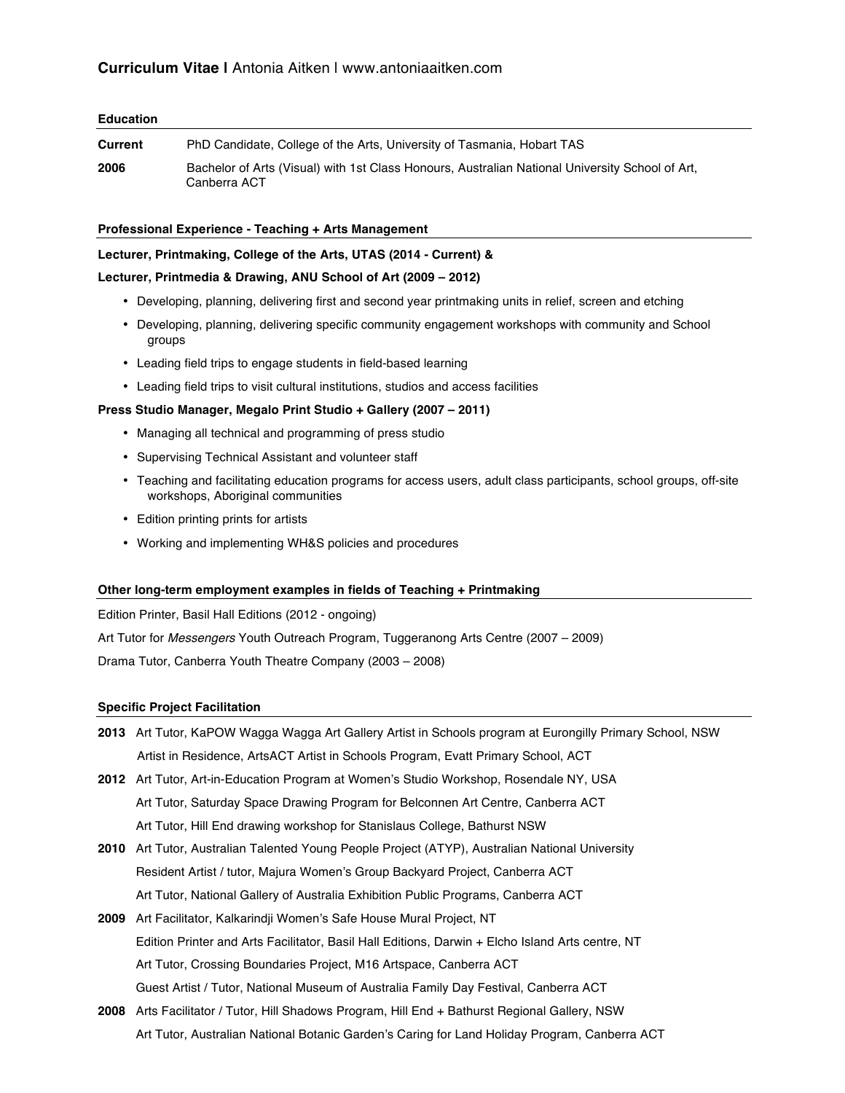# **Curriculum Vitae |** Antonia Aitken | www.antoniaaitken.com

# **Education**

| Current | PhD Candidate, College of the Arts, University of Tasmania, Hobart TAS                                          |
|---------|-----------------------------------------------------------------------------------------------------------------|
| 2006    | Bachelor of Arts (Visual) with 1st Class Honours, Australian National University School of Art,<br>Canberra ACT |

# **Professional Experience - Teaching + Arts Management**

# **Lecturer, Printmaking, College of the Arts, UTAS (2014 - Current) &**

# **Lecturer, Printmedia & Drawing, ANU School of Art (2009 – 2012)**

- Developing, planning, delivering first and second year printmaking units in relief, screen and etching
- Developing, planning, delivering specific community engagement workshops with community and School groups
- Leading field trips to engage students in field-based learning
- Leading field trips to visit cultural institutions, studios and access facilities

# **Press Studio Manager, Megalo Print Studio + Gallery (2007 – 2011)**

- Managing all technical and programming of press studio
- Supervising Technical Assistant and volunteer staff
- Teaching and facilitating education programs for access users, adult class participants, school groups, off-site workshops, Aboriginal communities
- Edition printing prints for artists
- Working and implementing WH&S policies and procedures

# **Other long-term employment examples in fields of Teaching + Printmaking**

Edition Printer, Basil Hall Editions (2012 - ongoing)

Art Tutor for *Messengers* Youth Outreach Program, Tuggeranong Arts Centre (2007 – 2009)

Drama Tutor, Canberra Youth Theatre Company (2003 – 2008)

#### **Specific Project Facilitation**

- **2013** Art Tutor, KaPOW Wagga Wagga Art Gallery Artist in Schools program at Eurongilly Primary School, NSW Artist in Residence, ArtsACT Artist in Schools Program, Evatt Primary School, ACT
- **2012** Art Tutor, Art-in-Education Program at Women's Studio Workshop, Rosendale NY, USA Art Tutor, Saturday Space Drawing Program for Belconnen Art Centre, Canberra ACT Art Tutor, Hill End drawing workshop for Stanislaus College, Bathurst NSW
- **2010** Art Tutor, Australian Talented Young People Project (ATYP), Australian National University Resident Artist / tutor, Majura Women's Group Backyard Project, Canberra ACT Art Tutor, National Gallery of Australia Exhibition Public Programs, Canberra ACT
- **2009** Art Facilitator, Kalkarindji Women's Safe House Mural Project, NT Edition Printer and Arts Facilitator, Basil Hall Editions, Darwin + Elcho Island Arts centre, NT Art Tutor, Crossing Boundaries Project, M16 Artspace, Canberra ACT Guest Artist / Tutor, National Museum of Australia Family Day Festival, Canberra ACT
- **2008** Arts Facilitator / Tutor, Hill Shadows Program, Hill End + Bathurst Regional Gallery, NSW Art Tutor, Australian National Botanic Garden's Caring for Land Holiday Program, Canberra ACT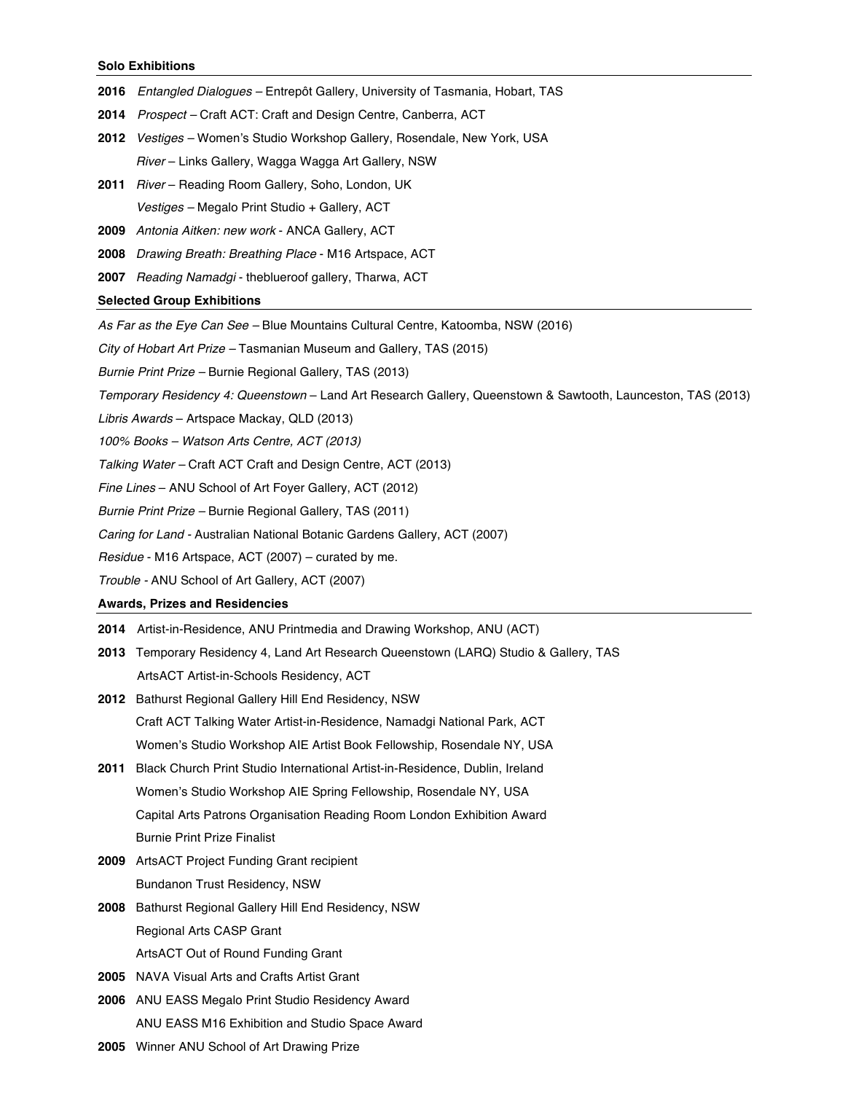#### **Solo Exhibitions**

- **2016** *Entangled Dialogues –* Entrepôt Gallery, University of Tasmania, Hobart, TAS
- **2014** *Prospect –* Craft ACT: Craft and Design Centre, Canberra, ACT
- **2012** *Vestiges –* Women's Studio Workshop Gallery, Rosendale, New York, USA  *River* – Links Gallery, Wagga Wagga Art Gallery, NSW
- **2011** *River* Reading Room Gallery, Soho, London, UK *Vestiges –* Megalo Print Studio + Gallery, ACT
- **2009** *Antonia Aitken: new work* ANCA Gallery, ACT
- **2008** *Drawing Breath: Breathing Place*  M16 Artspace, ACT
- **2007** *Reading Namadgi* theblueroof gallery, Tharwa, ACT

#### **Selected Group Exhibitions**

- *As Far as the Eye Can See –* Blue Mountains Cultural Centre, Katoomba, NSW (2016)
- *City of Hobart Art Prize –* Tasmanian Museum and Gallery, TAS (2015)
- *Burnie Print Prize –* Burnie Regional Gallery, TAS (2013)
- *Temporary Residency 4: Queenstown*  Land Art Research Gallery, Queenstown & Sawtooth, Launceston, TAS (2013)
- *Libris Awards*  Artspace Mackay, QLD (2013)
- *100% Books – Watson Arts Centre, ACT (2013)*
- *Talking Water –* Craft ACT Craft and Design Centre, ACT (2013)
- *Fine Lines* ANU School of Art Foyer Gallery, ACT (2012)
- *Burnie Print Prize –* Burnie Regional Gallery, TAS (2011)
- *Caring for Land -* Australian National Botanic Gardens Gallery, ACT (2007)
- *Residue*  M16 Artspace, ACT (2007) curated by me.
- *Trouble -* ANU School of Art Gallery, ACT (2007)

#### **Awards, Prizes and Residencies**

- **2014** Artist-in-Residence, ANU Printmedia and Drawing Workshop, ANU (ACT)
- **2013** Temporary Residency 4, Land Art Research Queenstown (LARQ) Studio & Gallery, TAS ArtsACT Artist-in-Schools Residency, ACT
- **2012** Bathurst Regional Gallery Hill End Residency, NSW Craft ACT Talking Water Artist-in-Residence, Namadgi National Park, ACT Women's Studio Workshop AIE Artist Book Fellowship, Rosendale NY, USA
- **2011** Black Church Print Studio International Artist-in-Residence, Dublin, Ireland Women's Studio Workshop AIE Spring Fellowship, Rosendale NY, USA Capital Arts Patrons Organisation Reading Room London Exhibition Award Burnie Print Prize Finalist
- **2009** ArtsACT Project Funding Grant recipient Bundanon Trust Residency, NSW
- **2008** Bathurst Regional Gallery Hill End Residency, NSW Regional Arts CASP Grant ArtsACT Out of Round Funding Grant
- **2005** NAVA Visual Arts and Crafts Artist Grant
- **2006** ANU EASS Megalo Print Studio Residency Award ANU EASS M16 Exhibition and Studio Space Award
- **2005** Winner ANU School of Art Drawing Prize